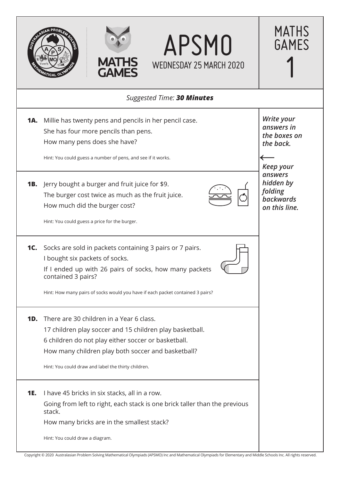

Copyright © 2020 Australasian Problem Solving Mathematical Olympiads (APSMO) Inc and Mathematical Olympiads for Elementary and Middle Schools Inc. All rights reserved.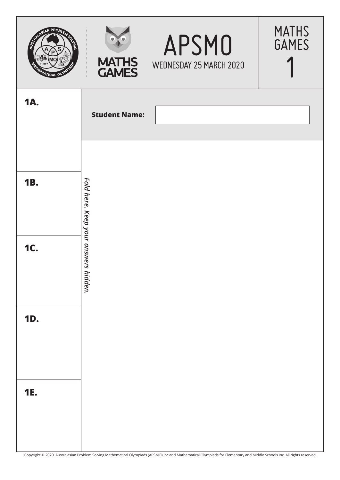| SIAN PROB<br><b>AUGHAN</b><br>17/CAL<br>o | <b>MATHS<br/>GAMES</b>               | APSMO<br>WEDNESDAY 25 MARCH 2020                                                                                                                                        | <b>MATHS</b><br><b>GAMES</b> |
|-------------------------------------------|--------------------------------------|-------------------------------------------------------------------------------------------------------------------------------------------------------------------------|------------------------------|
| <b>1A.</b>                                | <b>Student Name:</b>                 |                                                                                                                                                                         |                              |
| <b>1B.</b>                                |                                      |                                                                                                                                                                         |                              |
| <b>1C.</b>                                | Fold here. Keep your answers hidden. |                                                                                                                                                                         |                              |
| <b>1D.</b>                                |                                      |                                                                                                                                                                         |                              |
|                                           |                                      |                                                                                                                                                                         |                              |
| <b>1E.</b>                                |                                      |                                                                                                                                                                         |                              |
|                                           |                                      | Copyright © 2020 Australasian Problem Solving Mathematical Olympiads (APSMO) Inc and Mathematical Olympiads for Elementary and Middle Schools Inc. All rights reserved. |                              |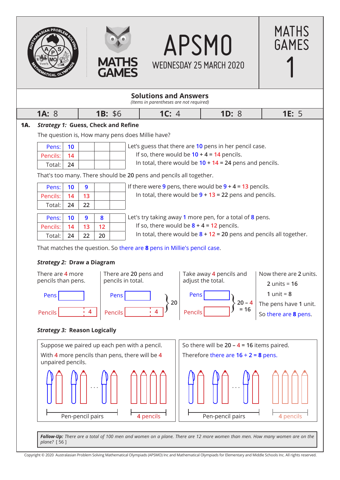

Copyright © 2020 Australasian Problem Solving Mathematical Olympiads (APSMO) Inc and Mathematical Olympiads for Elementary and Middle Schools Inc. All rights reserved.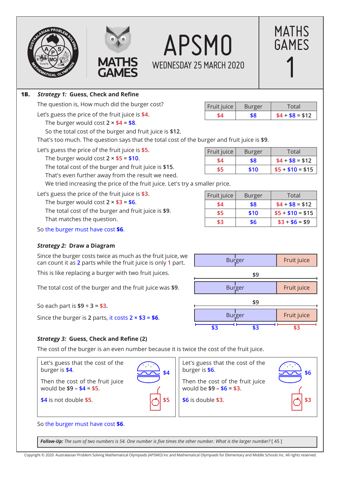





# **1B.** *Strategy 1:* **Guess, Check and Refine**

The question is, How much did the burger cost?

Let's guess the price of the fruit juice is **\$4**.

The burger would cost  $2 \times $4 = $8$ .

So the total cost of the burger and fruit juice is **\$12**.

That's too much. The question says that the total cost of the burger and fruit juice is **\$9**.

Let's guess the price of the fruit juice is **\$5**.

The burger would cost **2 × \$5 = \$10**.

The total cost of the burger and fruit juice is **\$15**.

That's even further away from the result we need.

We tried increasing the price of the fruit juice. Let's try a smaller price.

Let's guess the price of the fruit juice is **\$3**. The burger would cost  $2 \times $3 = $6$ .

The total cost of the burger and fruit juice is **\$9**. That matches the question.

So the burger must have cost **\$6**.

# *Strategy 2:* **Draw a Diagram**

Since the burger costs twice as much as the fruit juice, we can count it as **2** parts while the fruit juice is only **1** part.

This is like replacing a burger with two fruit juices.

The total cost of the burger and the fruit juice was **\$9**.

So each part is **\$9 ÷ 3 = \$3.**

Since the burger is **2** parts, it costs **2 × \$3 = \$6**.

| \$8 | $$4 + $8 = $12$ |
|-----|-----------------|
|     |                 |
|     |                 |

Fruit juice  $\vert$  Burger  $\vert$  Total

MATHS

GAMES

1

| Fruit juice | <b>Burger</b> | Total            |
|-------------|---------------|------------------|
| \$4         | \$8           | $$4 + $8 = $12$  |
| \$5         | \$10          | $$5 + $10 = $15$ |

| Fruit juice | Burger | Total            |
|-------------|--------|------------------|
| \$4         | \$8    | $$4 + $8 = $12$  |
| \$5         | \$10   | $$5 + $10 = $15$ |
| \$3         | \$6    | $$3 + $6 = $9$   |



# *Strategy 3:* **Guess, Check and Refine (2)**

The cost of the burger is an even number because it is twice the cost of the fruit juice.

Let's guess that the cost of the burger is **\$4**. Then the cost of the fruit juice would be **\$9 – \$4 = \$5**. **\$4** is not double **\$5**. Let's guess that the cost of the burger is **\$6**. Then the cost of the fruit juice would be **\$9 – \$6 = \$3**. **\$6** is double **\$3**. So the burger must have cost **\$6**.  $\sum_{i=1}^{n}$ **\$4 \$5**  $\overline{\phantom{a}}$ **\$6 \$3**

*Follow-Up: The sum of two numbers is 54. One number is five times the other number. What is the larger number?* [ 45 ]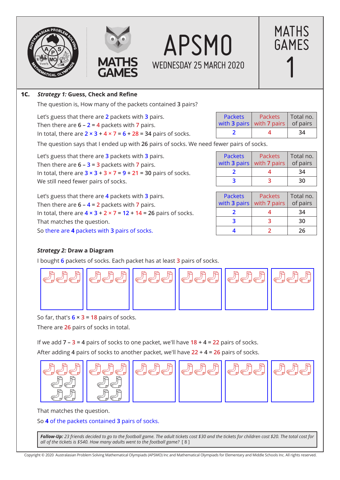







# **1C.** *Strategy 1:* **Guess, Check and Refine**

The question is, How many of the packets contained **3** pairs?

Let's guess that there are **2** packets with **3** pairs. Then there are **6 – 2 = 4** packets with **7** pairs. In total, there are **2 × 3 + 4 × 7 = 6 + 28 = 34** pairs of socks.

The question says that I ended up with **26** pairs of socks. We need fewer pairs of socks.

Let's guess that there are **3** packets with **3** pairs. Then there are  $6 - 3 = 3$  packets with 7 pairs. In total, there are **3 × 3 + 3 × 7 = 9 + 21 = 30** pairs of socks. We still need fewer pairs of socks.

Let's guess that there are **4** packets with **3** pairs. Then there are **6 – 4 = 2** packets with **7** pairs. In total, there are **4 × 3 + 2 × 7 = 12 + 14 = 26** pairs of socks. That matches the question. So there are **4** packets with **3** pairs of socks. **4 2 26**

| <b>Packets</b> | <b>Packets</b><br>with 3 pairs   with 7 pairs $\vert$ of pairs | Total no. |  |  |
|----------------|----------------------------------------------------------------|-----------|--|--|
|                |                                                                | 34        |  |  |

| <b>Packets</b> | <b>Packets</b><br>with 3 pairs   with 7 pairs | Total no.<br>of pairs |  |  |
|----------------|-----------------------------------------------|-----------------------|--|--|
|                |                                               | 34                    |  |  |
|                |                                               | 30                    |  |  |

| <b>Packets</b> | <b>Packets</b><br>with 3 pairs $\vert$ with 7 pairs | Total no.<br>of pairs |  |  |
|----------------|-----------------------------------------------------|-----------------------|--|--|
|                |                                                     | 34                    |  |  |
|                |                                                     | 30                    |  |  |
|                |                                                     | 26                    |  |  |

# *Strategy 2:* **Draw a Diagram**

I bought **6** packets of socks. Each packet has at least **3** pairs of socks.



So far, that's **6 × 3 = 18** pairs of socks.

There are **26** pairs of socks in total.

If we add **7 – 3 = 4** pairs of socks to one packet, we'll have **18 + 4 = 22** pairs of socks.

After adding **4** pairs of socks to another packet, we'll have **22 + 4 = 26** pairs of socks.



That matches the question.

So **4** of the packets contained **3** pairs of socks.

*Follow-Up: 23 friends decided to go to the football game. The adult tickets cost \$30 and the tickets for children cost \$20. The total cost for all of the tickets is \$540. How many adults went to the football game?* [ 8 ]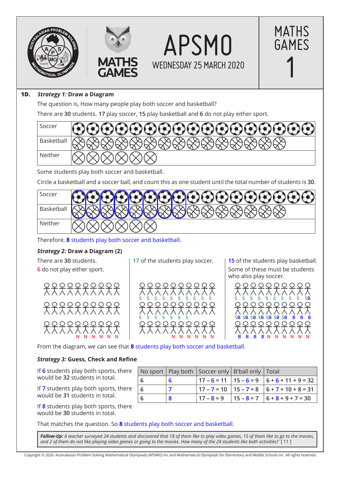





#### **1D.** *Strategy 1:* **Draw a Diagram**

The question is, How many people play both soccer and basketball?

There are **30** students. **17** play soccer, **15** play basketball and **6** do not play either sport.



Some students play both soccer and basketball.

Circle a basketball and a soccer ball, and count this as one student until the total number of students is **30**.



Therefore, **8** students play both soccer and basketball.

#### *Strategy 2:* **Draw a Diagram (2)**

There are **30** students. **6** do not play either sport.



**17** of the students play soccer.



**15** of the students play basketball. Some of these must be students who also play soccer.

MATHS

GAMES

1



From the diagram, we can see that **8** students play both soccer and basketball.

#### *Strategy 3:* **Guess, Check and Refine**

If **6** students play both sports, there would be **32** students in total.

If **7** students play both sports, there would be **31** students in total.

If **8** students play both sports, there would be **30** students in total.

|    | No sport   Play both   Soccer only   B'ball only   Total |                                                      |
|----|----------------------------------------------------------|------------------------------------------------------|
| -6 |                                                          | $17 - 6 = 11$   $15 - 6 = 9$   $6 + 6 + 11 + 9 = 32$ |
| -6 |                                                          | $17 - 7 = 10$ $15 - 7 = 8$ $6 + 7 + 10 + 8 = 31$     |
| -6 |                                                          | $17 - 8 = 9$   15 - 8 = 7   6 + 8 + 9 + 7 = 30       |

That matches the question. So **8** students play both soccer and basketball.

*Follow-Up: A teacher surveyed 24 students and discovered that 18 of them like to play video games, 15 of them like to go to the movies, and 2 of them do not like playing video games or going to the movies. How many of the 24 students like both activities?* [ 11 ]